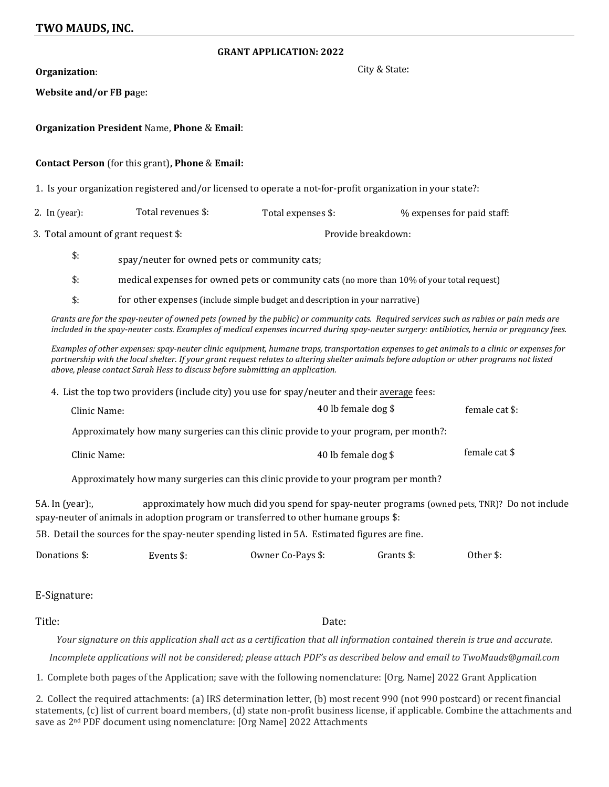## **GRANT APPLICATION: 2022**

| Organization:                        |                                                                                                                                                                                                                                                                                                                                                                           | City & State:      |                     |                                                                                                 |
|--------------------------------------|---------------------------------------------------------------------------------------------------------------------------------------------------------------------------------------------------------------------------------------------------------------------------------------------------------------------------------------------------------------------------|--------------------|---------------------|-------------------------------------------------------------------------------------------------|
| Website and/or FB page:              |                                                                                                                                                                                                                                                                                                                                                                           |                    |                     |                                                                                                 |
|                                      | <b>Organization President Name, Phone &amp; Email:</b>                                                                                                                                                                                                                                                                                                                    |                    |                     |                                                                                                 |
|                                      | Contact Person (for this grant), Phone & Email:                                                                                                                                                                                                                                                                                                                           |                    |                     |                                                                                                 |
|                                      | 1. Is your organization registered and/or licensed to operate a not-for-profit organization in your state?:                                                                                                                                                                                                                                                               |                    |                     |                                                                                                 |
| 2. In $(year):$                      | Total revenues \$:                                                                                                                                                                                                                                                                                                                                                        | Total expenses \$: |                     | % expenses for paid staff:                                                                      |
| 3. Total amount of grant request \$: |                                                                                                                                                                                                                                                                                                                                                                           | Provide breakdown: |                     |                                                                                                 |
| $\mathsf{\$}$ :                      | spay/neuter for owned pets or community cats;                                                                                                                                                                                                                                                                                                                             |                    |                     |                                                                                                 |
| $\mathsf{\$}$ :                      | medical expenses for owned pets or community cats (no more than 10% of your total request)                                                                                                                                                                                                                                                                                |                    |                     |                                                                                                 |
| $\mathsf{\$}$ :                      | for other expenses (include simple budget and description in your narrative)                                                                                                                                                                                                                                                                                              |                    |                     |                                                                                                 |
|                                      | Grants are for the spay-neuter of owned pets (owned by the public) or community cats. Required services such as rabies or pain meds are<br>included in the spay-neuter costs. Examples of medical expenses incurred during spay-neuter surgery: antibiotics, hernia or pregnancy fees.                                                                                    |                    |                     |                                                                                                 |
|                                      | Examples of other expenses: spay-neuter clinic equipment, humane traps, transportation expenses to get animals to a clinic or expenses for<br>partnership with the local shelter. If your grant request relates to altering shelter animals before adoption or other programs not listed<br>above, please contact Sarah Hess to discuss before submitting an application. |                    |                     |                                                                                                 |
|                                      | 4. List the top two providers (include city) you use for spay/neuter and their average fees:                                                                                                                                                                                                                                                                              |                    |                     |                                                                                                 |
| Clinic Name:                         |                                                                                                                                                                                                                                                                                                                                                                           |                    | 40 lb female dog \$ | female cat \$:                                                                                  |
|                                      | Approximately how many surgeries can this clinic provide to your program, per month?:                                                                                                                                                                                                                                                                                     |                    |                     |                                                                                                 |
| Clinic Name:                         |                                                                                                                                                                                                                                                                                                                                                                           |                    | 40 lb female dog \$ | female cat \$                                                                                   |
|                                      | Approximately how many surgeries can this clinic provide to your program per month?                                                                                                                                                                                                                                                                                       |                    |                     |                                                                                                 |
| 5A. In (year):,                      | spay-neuter of animals in adoption program or transferred to other humane groups \$:                                                                                                                                                                                                                                                                                      |                    |                     | approximately how much did you spend for spay-neuter programs (owned pets, TNR)? Do not include |
|                                      | 5B. Detail the sources for the spay-neuter spending listed in 5A. Estimated figures are fine.                                                                                                                                                                                                                                                                             |                    |                     |                                                                                                 |
| Donations \$:                        | Events \$:                                                                                                                                                                                                                                                                                                                                                                | Owner Co-Pays \$:  | Grants \$:          | Other \$:                                                                                       |
|                                      |                                                                                                                                                                                                                                                                                                                                                                           |                    |                     |                                                                                                 |

E-Signature:

Title: Date:

*Your signature on this application shall act as a certification that all information contained therein is true and accurate*. *Incomplete applications will not be considered; please attach PDF's as described below and email to TwoMauds@gmail.com*

1. Complete both pages of the Application; save with the following nomenclature: [Org. Name] 2022 Grant Application

2. Collect the required attachments: (a) IRS determination letter, (b) most recent 990 (not 990 postcard) or recent financial statements, (c) list of current board members, (d) state non-profit business license, if applicable. Combine the attachments and save as 2nd PDF document using nomenclature: [Org Name] 2022 Attachments